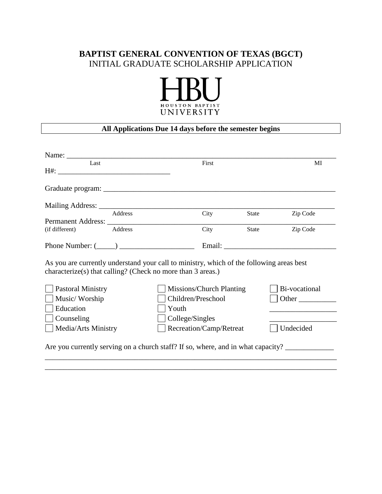# **BAPTIST GENERAL CONVENTION OF TEXAS (BGCT)** INITIAL GRADUATE SCHOLARSHIP APPLICATION



# **All Applications Due 14 days before the semester begins**

| Name: $\frac{1}{\sqrt{1-\frac{1}{2}}\cdot\frac{1}{\sqrt{1-\frac{1}{2}}}}$                                                                               |         |                                                         |       |       |                        |
|---------------------------------------------------------------------------------------------------------------------------------------------------------|---------|---------------------------------------------------------|-------|-------|------------------------|
| Last                                                                                                                                                    |         |                                                         | First |       | MI                     |
|                                                                                                                                                         |         |                                                         |       |       |                        |
|                                                                                                                                                         |         |                                                         |       |       |                        |
|                                                                                                                                                         | Address |                                                         | City  | State | Zip Code               |
| (if different)                                                                                                                                          | Address |                                                         | City  | State | Zip Code               |
| Phone Number: $(\_\_)$                                                                                                                                  |         |                                                         |       |       |                        |
| As you are currently understand your call to ministry, which of the following areas best<br>characterize(s) that calling? (Check no more than 3 areas.) |         |                                                         |       |       |                        |
| <b>Pastoral Ministry</b><br>Music/Worship<br>Education                                                                                                  |         | Missions/Church Planting<br>Children/Preschool<br>Youth |       |       | Bi-vocational<br>Other |
| Counseling                                                                                                                                              |         | College/Singles                                         |       |       |                        |
| Media/Arts Ministry                                                                                                                                     |         | Recreation/Camp/Retreat                                 |       |       | Undecided              |
| Are you currently serving on a church staff? If so, where, and in what capacity?                                                                        |         |                                                         |       |       |                        |

\_\_\_\_\_\_\_\_\_\_\_\_\_\_\_\_\_\_\_\_\_\_\_\_\_\_\_\_\_\_\_\_\_\_\_\_\_\_\_\_\_\_\_\_\_\_\_\_\_\_\_\_\_\_\_\_\_\_\_\_\_\_\_\_\_\_\_\_\_\_\_\_\_\_\_\_\_\_ \_\_\_\_\_\_\_\_\_\_\_\_\_\_\_\_\_\_\_\_\_\_\_\_\_\_\_\_\_\_\_\_\_\_\_\_\_\_\_\_\_\_\_\_\_\_\_\_\_\_\_\_\_\_\_\_\_\_\_\_\_\_\_\_\_\_\_\_\_\_\_\_\_\_\_\_\_\_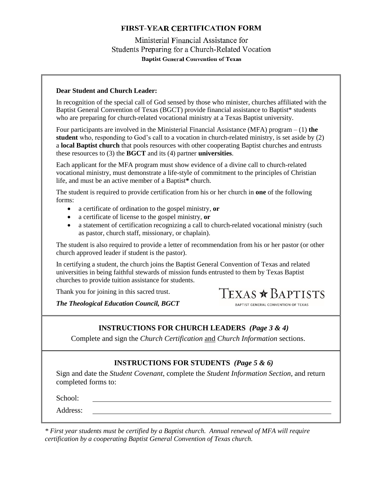## Ministerial Financial Assistance for Students Preparing for a Church-Related Vocation **Baptist General Convention of Texas**

#### **Dear Student and Church Leader:**

In recognition of the special call of God sensed by those who minister, churches affiliated with the Baptist General Convention of Texas (BGCT) provide financial assistance to Baptist\* students who are preparing for church-related vocational ministry at a Texas Baptist university.

Four participants are involved in the Ministerial Financial Assistance (MFA) program – (1) **the student** who, responding to God's call to a vocation in church-related ministry, is set aside by (2) a **local Baptist church** that pools resources with other cooperating Baptist churches and entrusts these resources to (3) the **BGCT** and its (4) partner **universities**.

Each applicant for the MFA program must show evidence of a divine call to church-related vocational ministry, must demonstrate a life-style of commitment to the principles of Christian life, and must be an active member of a Baptist**\*** church.

The student is required to provide certification from his or her church in **one** of the following forms:

- a certificate of ordination to the gospel ministry, **or**
- a certificate of license to the gospel ministry, **or**
- a statement of certification recognizing a call to church-related vocational ministry (such as pastor, church staff, missionary, or chaplain).

The student is also required to provide a letter of recommendation from his or her pastor (or other church approved leader if student is the pastor).

In certifying a student, the church joins the Baptist General Convention of Texas and related universities in being faithful stewards of mission funds entrusted to them by Texas Baptist churches to provide tuition assistance for students.

Thank you for joining in this sacred trust.

TEXAS \* BAPTISTS BAPTIST GENERAL CONVENTION OF TEXAS

*The Theological Education Council, BGCT*

## **INSTRUCTIONS FOR CHURCH LEADERS** *(Page 3 & 4)*

Complete and sign the *Church Certification* and *Church Information* sections.

#### **INSTRUCTIONS FOR STUDENTS** *(Page 5 & 6)*

Sign and date the *Student Covenant*, complete the *Student Information Section*, and return completed forms to:

School:

Address:

*\* First year students must be certified by a Baptist church. Annual renewal of MFA will require certification by a cooperating Baptist General Convention of Texas church.*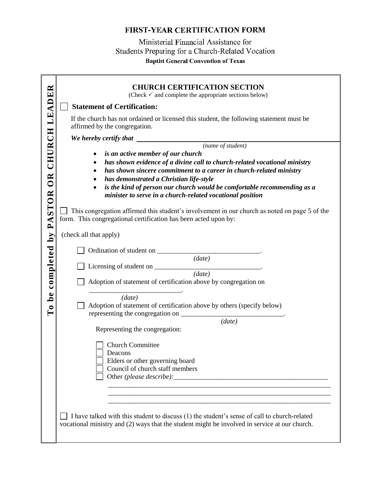Ministerial Financial Assistance for Students Preparing for a Church-Related Vocation **Baptist General Convention of Texas** 

|                        | <b>CHURCH CERTIFICATION SECTION</b><br>(Check $\checkmark$ and complete the appropriate sections below)                                                                                       |  |  |  |  |  |  |
|------------------------|-----------------------------------------------------------------------------------------------------------------------------------------------------------------------------------------------|--|--|--|--|--|--|
|                        | <b>Statement of Certification:</b>                                                                                                                                                            |  |  |  |  |  |  |
| CHURCH LEADER          | If the church has not ordained or licensed this student, the following statement must be<br>affirmed by the congregation.                                                                     |  |  |  |  |  |  |
|                        |                                                                                                                                                                                               |  |  |  |  |  |  |
|                        |                                                                                                                                                                                               |  |  |  |  |  |  |
|                        | is an active member of our church<br>٠<br>has shown evidence of a divine call to church-related vocational ministry                                                                           |  |  |  |  |  |  |
|                        | has shown sincere commitment to a career in church-related ministry<br>$\bullet$                                                                                                              |  |  |  |  |  |  |
| OR <sub></sub>         | has demonstrated a Christian life-style<br>٠                                                                                                                                                  |  |  |  |  |  |  |
| <b>STOR</b>            | is the kind of person our church would be comfortable recommending as a<br>$\bullet$<br>minister to serve in a church-related vocational position                                             |  |  |  |  |  |  |
| $\mathbf{P}\mathbf{A}$ | This congregation affirmed this student's involvement in our church as noted on page 5 of the<br>form. This congregational certification has been acted upon by:<br>(check all that apply)    |  |  |  |  |  |  |
|                        |                                                                                                                                                                                               |  |  |  |  |  |  |
|                        |                                                                                                                                                                                               |  |  |  |  |  |  |
|                        | (data)                                                                                                                                                                                        |  |  |  |  |  |  |
|                        | (data)                                                                                                                                                                                        |  |  |  |  |  |  |
| completed by           | Adoption of statement of certification above by congregation on                                                                                                                               |  |  |  |  |  |  |
| ۵e                     | (data)                                                                                                                                                                                        |  |  |  |  |  |  |
| $\epsilon$             | Adoption of statement of certification above by others (specify below)                                                                                                                        |  |  |  |  |  |  |
| $\vdash$               |                                                                                                                                                                                               |  |  |  |  |  |  |
|                        | (data)                                                                                                                                                                                        |  |  |  |  |  |  |
|                        | Representing the congregation:                                                                                                                                                                |  |  |  |  |  |  |
|                        | <b>Church Committee</b>                                                                                                                                                                       |  |  |  |  |  |  |
|                        | Deacons                                                                                                                                                                                       |  |  |  |  |  |  |
|                        | Elders or other governing board<br>Council of church staff members                                                                                                                            |  |  |  |  |  |  |
|                        |                                                                                                                                                                                               |  |  |  |  |  |  |
|                        |                                                                                                                                                                                               |  |  |  |  |  |  |
|                        |                                                                                                                                                                                               |  |  |  |  |  |  |
|                        |                                                                                                                                                                                               |  |  |  |  |  |  |
|                        | I have talked with this student to discuss (1) the student's sense of call to church-related<br>vocational ministry and (2) ways that the student might be involved in service at our church. |  |  |  |  |  |  |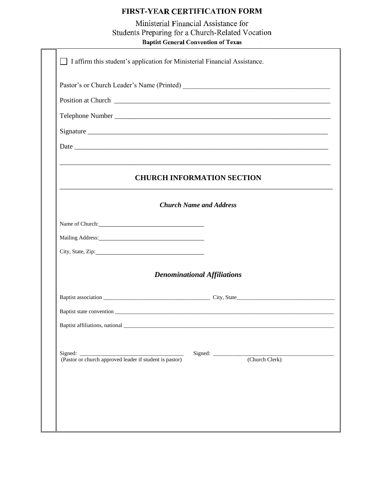Ministerial Financial Assistance for Students Preparing for a Church-Related Vocation **Baptist General Convention of Texas** 

|                                                         | <b>CHURCH INFORMATION SECTION</b>                                                                                      |                                    |                |  |
|---------------------------------------------------------|------------------------------------------------------------------------------------------------------------------------|------------------------------------|----------------|--|
|                                                         |                                                                                                                        | <b>Church Name and Address</b>     |                |  |
| Name of Church: Name of Church:                         |                                                                                                                        |                                    |                |  |
|                                                         |                                                                                                                        |                                    |                |  |
| City, State, Zip:                                       |                                                                                                                        |                                    |                |  |
|                                                         |                                                                                                                        | <b>Denominational Affiliations</b> |                |  |
|                                                         |                                                                                                                        |                                    |                |  |
|                                                         |                                                                                                                        |                                    |                |  |
|                                                         |                                                                                                                        |                                    |                |  |
| Baptist affiliations, national                          |                                                                                                                        |                                    |                |  |
| Signed:                                                 | <u> 1989 - Johann Barn, mars ann an t-Amhain ann an t-Amhain an t-Amhain an t-Amhain an t-Amhain an t-Amhain an t-</u> |                                    |                |  |
| (Pastor or church approved leader if student is pastor) |                                                                                                                        |                                    | (Church Clerk) |  |
|                                                         |                                                                                                                        |                                    |                |  |
|                                                         |                                                                                                                        |                                    |                |  |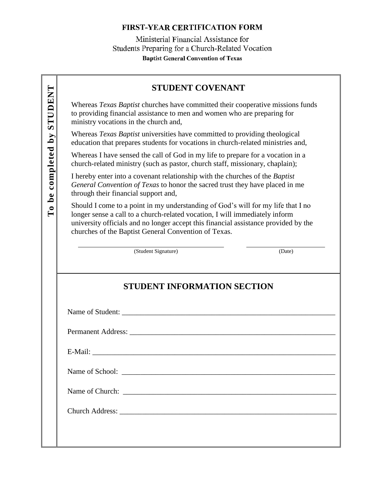Ministerial Financial Assistance for Students Preparing for a Church-Related Vocation **Baptist General Convention of Texas** 

# **STUDENT COVENANT**

Whereas *Texas Baptist* churches have committed their cooperative missions funds to providing financial assistance to men and women who are preparing for ministry vocations in the church and,

Whereas *Texas Baptist* universities have committed to providing theological education that prepares students for vocations in church-related ministries and,

Whereas I have sensed the call of God in my life to prepare for a vocation in a church-related ministry (such as pastor, church staff, missionary, chaplain);

I hereby enter into a covenant relationship with the churches of the *Baptist General Convention of Texas* to honor the sacred trust they have placed in me through their financial support and,

Should I come to a point in my understanding of God's will for my life that I no longer sense a call to a church-related vocation, I will immediately inform university officials and no longer accept this financial assistance provided by the churches of the Baptist General Convention of Texas.

(Student Signature) (Date)

# **STUDENT INFORMATION SECTION**

Name of School:

Church Address:

Name of Student: \_\_\_\_\_\_\_\_\_\_\_\_\_\_\_\_\_\_\_\_\_\_\_\_\_\_\_\_\_\_\_\_\_\_\_\_\_\_\_\_\_\_\_\_\_\_\_\_\_\_\_\_\_\_\_\_\_

Permanent Address: \_\_\_\_\_\_\_\_\_\_\_\_\_\_\_\_\_\_\_\_\_\_\_\_\_\_\_\_\_\_\_\_\_\_\_\_\_\_\_\_\_\_\_\_\_\_\_\_\_\_\_\_\_\_\_

 $E-Mail:$ 

Name of Church: \_\_\_\_\_\_\_\_\_\_\_\_\_\_\_\_\_\_\_\_\_\_\_\_\_\_\_\_\_\_\_\_\_\_\_\_\_\_\_\_\_\_\_\_\_\_\_\_\_\_\_\_\_\_\_\_\_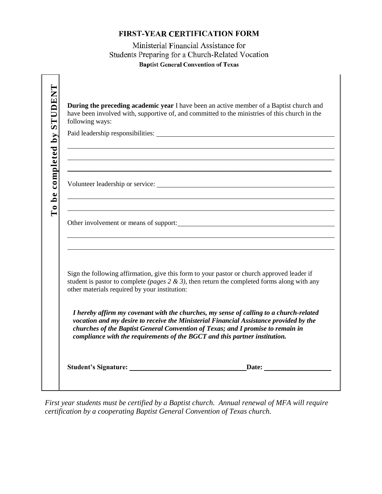Ministerial Financial Assistance for Students Preparing for a Church-Related Vocation **Baptist General Convention of Texas** 

| <b>TNALITIS</b>   | <b>During the preceding academic year I have been an active member of a Baptist church and</b><br>have been involved with, supportive of, and committed to the ministries of this church in the<br>following ways:                                                                                                                                |  |  |  |  |  |
|-------------------|---------------------------------------------------------------------------------------------------------------------------------------------------------------------------------------------------------------------------------------------------------------------------------------------------------------------------------------------------|--|--|--|--|--|
| o be completed by |                                                                                                                                                                                                                                                                                                                                                   |  |  |  |  |  |
|                   | Other involvement or means of support:                                                                                                                                                                                                                                                                                                            |  |  |  |  |  |
|                   | Sign the following affirmation, give this form to your pastor or church approved leader if<br>student is pastor to complete (pages $2 \& 3$ ), then return the completed forms along with any<br>other materials required by your institution:                                                                                                    |  |  |  |  |  |
|                   | I hereby affirm my covenant with the churches, my sense of calling to a church-related<br>vocation and my desire to receive the Ministerial Financial Assistance provided by the<br>churches of the Baptist General Convention of Texas; and I promise to remain in<br>compliance with the requirements of the BGCT and this partner institution. |  |  |  |  |  |
|                   | <b>Student's Signature:</b><br>Date: the contract of the contract of the contract of the contract of the contract of the contract of the contract of the contract of the contract of the contract of the contract of the contract of the contract of the cont                                                                                     |  |  |  |  |  |

*First year students must be certified by a Baptist church. Annual renewal of MFA will require certification by a cooperating Baptist General Convention of Texas church.*